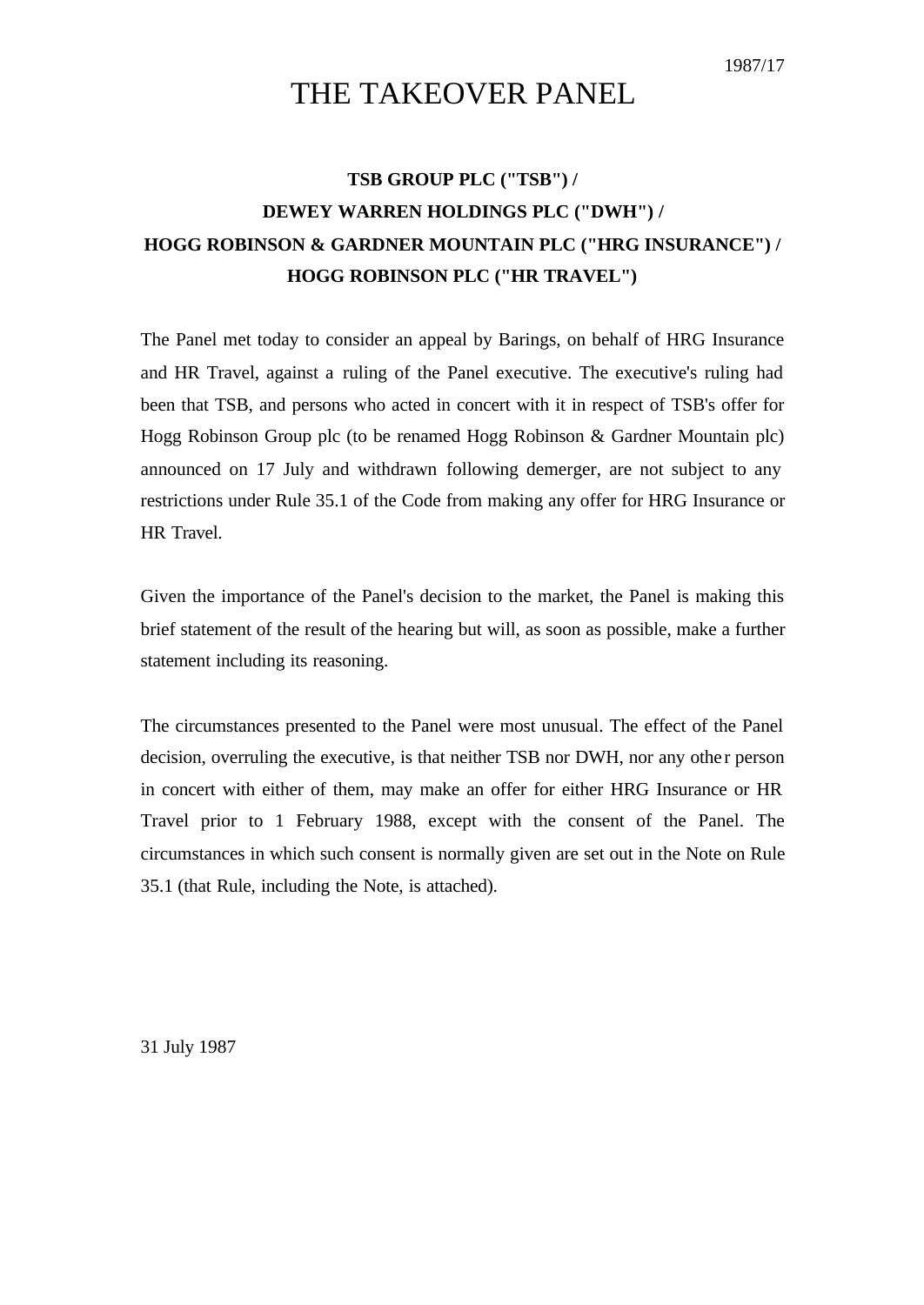## THE TAKEOVER PANEL

## **TSB GROUP PLC ("TSB") / DEWEY WARREN HOLDINGS PLC ("DWH") / HOGG ROBINSON & GARDNER MOUNTAIN PLC ("HRG INSURANCE") / HOGG ROBINSON PLC ("HR TRAVEL")**

The Panel met today to consider an appeal by Barings, on behalf of HRG Insurance and HR Travel, against a ruling of the Panel executive. The executive's ruling had been that TSB, and persons who acted in concert with it in respect of TSB's offer for Hogg Robinson Group plc (to be renamed Hogg Robinson & Gardner Mountain plc) announced on 17 July and withdrawn following demerger, are not subject to any restrictions under Rule 35.1 of the Code from making any offer for HRG Insurance or HR Travel.

Given the importance of the Panel's decision to the market, the Panel is making this brief statement of the result of the hearing but will, as soon as possible, make a further statement including its reasoning.

The circumstances presented to the Panel were most unusual. The effect of the Panel decision, overruling the executive, is that neither TSB nor DWH, nor any other person in concert with either of them, may make an offer for either HRG Insurance or HR Travel prior to 1 February 1988, except with the consent of the Panel. The circumstances in which such consent is normally given are set out in the Note on Rule 35.1 (that Rule, including the Note, is attached).

31 July 1987